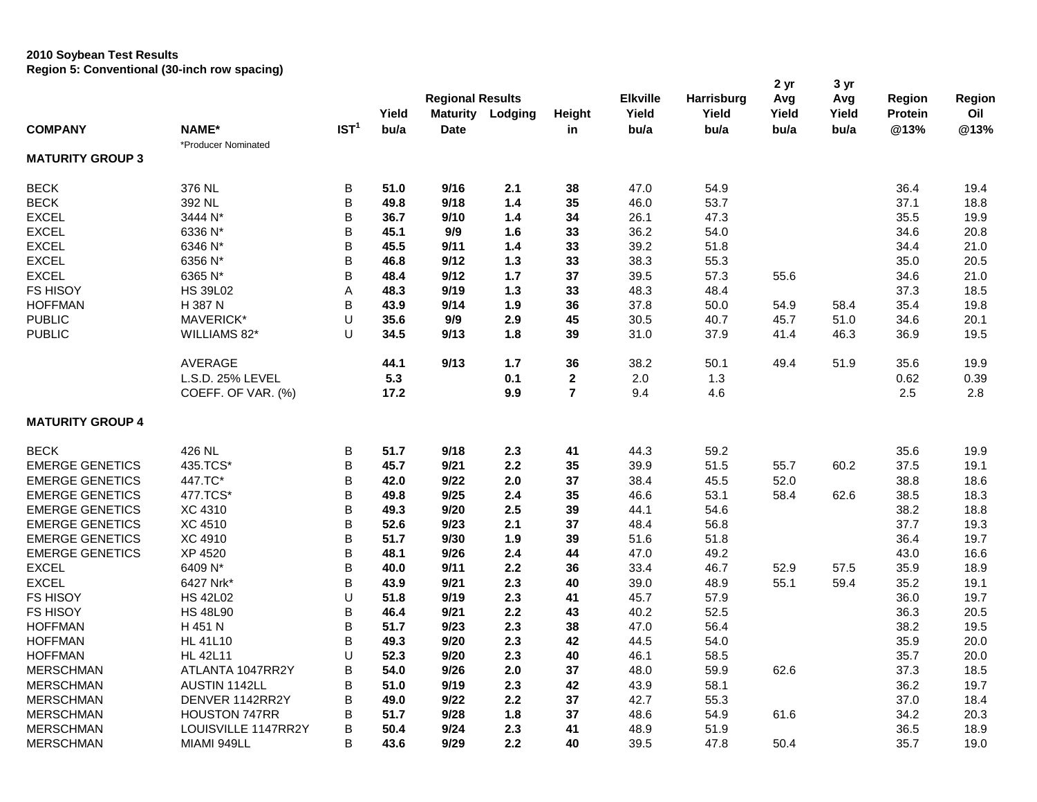## **2010 Soybean Test Results Region 5: Conventional (30-inch row spacing)**

|                         |                      |                  | Yield | <b>Regional Results</b><br>Maturity | Lodging | Height           | <b>Elkville</b><br>Yield | <b>Harrisburg</b><br>Yield | 2 yr<br>Avg<br>Yield | 3 yr<br>Avg<br>Yield | Region<br><b>Protein</b> | Region<br>Oil |
|-------------------------|----------------------|------------------|-------|-------------------------------------|---------|------------------|--------------------------|----------------------------|----------------------|----------------------|--------------------------|---------------|
| <b>COMPANY</b>          | <b>NAME*</b>         | IST <sup>1</sup> | bu/a  | <b>Date</b>                         |         | in               | bu/a                     | bu/a                       | bu/a                 | bu/a                 | @13%                     | @13%          |
|                         | *Producer Nominated  |                  |       |                                     |         |                  |                          |                            |                      |                      |                          |               |
| <b>MATURITY GROUP 3</b> |                      |                  |       |                                     |         |                  |                          |                            |                      |                      |                          |               |
| <b>BECK</b>             | 376 NL               | B                | 51.0  | 9/16                                | 2.1     | 38               | 47.0                     | 54.9                       |                      |                      | 36.4                     | 19.4          |
| <b>BECK</b>             | 392 NL               | B                | 49.8  | 9/18                                | 1.4     | 35               | 46.0                     | 53.7                       |                      |                      | 37.1                     | 18.8          |
| <b>EXCEL</b>            | 3444 N*              | B                | 36.7  | 9/10                                | 1.4     | 34               | 26.1                     | 47.3                       |                      |                      | 35.5                     | 19.9          |
| <b>EXCEL</b>            | 6336 N*              | B                | 45.1  | 9/9                                 | 1.6     | 33               | 36.2                     | 54.0                       |                      |                      | 34.6                     | 20.8          |
| <b>EXCEL</b>            | 6346 N*              | B                | 45.5  | 9/11                                | 1.4     | 33               | 39.2                     | 51.8                       |                      |                      | 34.4                     | 21.0          |
| <b>EXCEL</b>            | 6356 N*              | B                | 46.8  | 9/12                                | 1.3     | 33               | 38.3                     | 55.3                       |                      |                      | 35.0                     | 20.5          |
| <b>EXCEL</b>            | 6365 N*              | B                | 48.4  | 9/12                                | 1.7     | 37               | 39.5                     | 57.3                       | 55.6                 |                      | 34.6                     | 21.0          |
| <b>FS HISOY</b>         | <b>HS 39L02</b>      | A                | 48.3  | 9/19                                | 1.3     | 33               | 48.3                     | 48.4                       |                      |                      | 37.3                     | 18.5          |
| <b>HOFFMAN</b>          | H 387 N              | B                | 43.9  | 9/14                                | 1.9     | 36               | 37.8                     | 50.0                       | 54.9                 | 58.4                 | 35.4                     | 19.8          |
| <b>PUBLIC</b>           | MAVERICK*            | U                | 35.6  | 9/9                                 | 2.9     | 45               | 30.5                     | 40.7                       | 45.7                 | 51.0                 | 34.6                     | 20.1          |
| <b>PUBLIC</b>           | WILLIAMS 82*         | U                | 34.5  | 9/13                                | 1.8     | 39               | 31.0                     | 37.9                       | 41.4                 | 46.3                 | 36.9                     | 19.5          |
|                         | AVERAGE              |                  | 44.1  | 9/13                                | 1.7     | 36               | 38.2                     | 50.1                       | 49.4                 | 51.9                 | 35.6                     | 19.9          |
|                         | L.S.D. 25% LEVEL     |                  | 5.3   |                                     | 0.1     | $\boldsymbol{2}$ | 2.0                      | 1.3                        |                      |                      | 0.62                     | 0.39          |
|                         | COEFF. OF VAR. (%)   |                  | 17.2  |                                     | 9.9     | $\overline{7}$   | 9.4                      | 4.6                        |                      |                      | 2.5                      | 2.8           |
| <b>MATURITY GROUP 4</b> |                      |                  |       |                                     |         |                  |                          |                            |                      |                      |                          |               |
| <b>BECK</b>             | 426 NL               | B                | 51.7  | 9/18                                | 2.3     | 41               | 44.3                     | 59.2                       |                      |                      | 35.6                     | 19.9          |
| <b>EMERGE GENETICS</b>  | 435.TCS*             | B                | 45.7  | 9/21                                | 2.2     | 35               | 39.9                     | 51.5                       | 55.7                 | 60.2                 | 37.5                     | 19.1          |
| <b>EMERGE GENETICS</b>  | 447.TC*              | B                | 42.0  | 9/22                                | 2.0     | 37               | 38.4                     | 45.5                       | 52.0                 |                      | 38.8                     | 18.6          |
| <b>EMERGE GENETICS</b>  | 477.TCS*             | B                | 49.8  | 9/25                                | 2.4     | 35               | 46.6                     | 53.1                       | 58.4                 | 62.6                 | 38.5                     | 18.3          |
| <b>EMERGE GENETICS</b>  | <b>XC 4310</b>       | B                | 49.3  | 9/20                                | 2.5     | 39               | 44.1                     | 54.6                       |                      |                      | 38.2                     | 18.8          |
| <b>EMERGE GENETICS</b>  | <b>XC 4510</b>       | B                | 52.6  | 9/23                                | 2.1     | 37               | 48.4                     | 56.8                       |                      |                      | 37.7                     | 19.3          |
| <b>EMERGE GENETICS</b>  | XC 4910              | B                | 51.7  | 9/30                                | 1.9     | 39               | 51.6                     | 51.8                       |                      |                      | 36.4                     | 19.7          |
| <b>EMERGE GENETICS</b>  | XP 4520              | B                | 48.1  | 9/26                                | 2.4     | 44               | 47.0                     | 49.2                       |                      |                      | 43.0                     | 16.6          |
| <b>EXCEL</b>            | 6409 N*              | B                | 40.0  | 9/11                                | 2.2     | 36               | 33.4                     | 46.7                       | 52.9                 | 57.5                 | 35.9                     | 18.9          |
| <b>EXCEL</b>            | 6427 Nrk*            | B                | 43.9  | 9/21                                | 2.3     | 40               | 39.0                     | 48.9                       | 55.1                 | 59.4                 | 35.2                     | 19.1          |
| <b>FS HISOY</b>         | <b>HS 42L02</b>      | U                | 51.8  | 9/19                                | 2.3     | 41               | 45.7                     | 57.9                       |                      |                      | 36.0                     | 19.7          |
| <b>FS HISOY</b>         | <b>HS 48L90</b>      | B                | 46.4  | 9/21                                | 2.2     | 43               | 40.2                     | 52.5                       |                      |                      | 36.3                     | 20.5          |
| <b>HOFFMAN</b>          | H 451 N              | B                | 51.7  | 9/23                                | 2.3     | 38               | 47.0                     | 56.4                       |                      |                      | 38.2                     | 19.5          |
| <b>HOFFMAN</b>          | <b>HL 41L10</b>      | B                | 49.3  | 9/20                                | 2.3     | 42               | 44.5                     | 54.0                       |                      |                      | 35.9                     | 20.0          |
| <b>HOFFMAN</b>          | <b>HL 42L11</b>      | U                | 52.3  | 9/20                                | 2.3     | 40               | 46.1                     | 58.5                       |                      |                      | 35.7                     | 20.0          |
| <b>MERSCHMAN</b>        | ATLANTA 1047RR2Y     | B                | 54.0  | 9/26                                | 2.0     | 37               | 48.0                     | 59.9                       | 62.6                 |                      | 37.3                     | 18.5          |
| <b>MERSCHMAN</b>        | AUSTIN 1142LL        | B                | 51.0  | 9/19                                | 2.3     | 42               | 43.9                     | 58.1                       |                      |                      | 36.2                     | 19.7          |
| <b>MERSCHMAN</b>        | DENVER 1142RR2Y      | B                | 49.0  | 9/22                                | 2.2     | 37               | 42.7                     | 55.3                       |                      |                      | 37.0                     | 18.4          |
| <b>MERSCHMAN</b>        | <b>HOUSTON 747RR</b> | B                | 51.7  | 9/28                                | 1.8     | 37               | 48.6                     | 54.9                       | 61.6                 |                      | 34.2                     | 20.3          |
| <b>MERSCHMAN</b>        | LOUISVILLE 1147RR2Y  | B                | 50.4  | 9/24                                | 2.3     | 41               | 48.9                     | 51.9                       |                      |                      | 36.5                     | 18.9          |
| <b>MERSCHMAN</b>        | MIAMI 949LL          | B                | 43.6  | 9/29                                | 2.2     | 40               | 39.5                     | 47.8                       | 50.4                 |                      | 35.7                     | 19.0          |